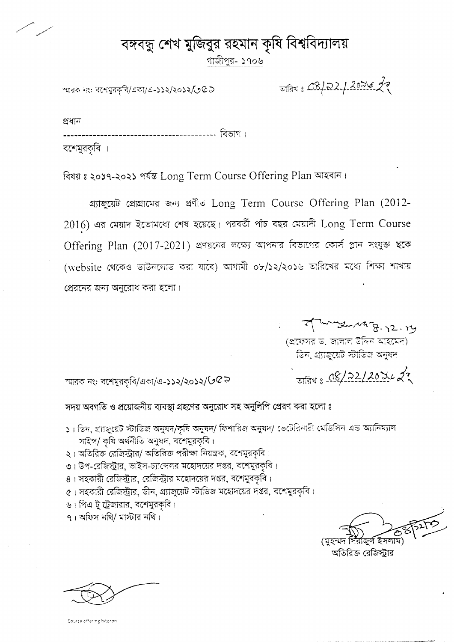## বঙ্গবন্ধু শেখ মুজিবুর রহমান কৃষি বিশ্ববিদ্যালয়

গাজীপুর- ১৭০৬

স্মারক নং: বশেমুরকৃবি/একা/এ-১১২/২০১২/৩ C.D

## जनिय : CB/22/2056 22

প্ৰধান

----------------- বিভাগ ।

বশেমুরকৃবি ।

বিষয় ঃ ২০১৭-২০২১ পর্যন্ত Long Term Course Offering Plan আহবান।

গ্র্যাজুয়েট প্রেঘামের জন্য প্রণীত Long Term Course Offering Plan (2012- $2016$ ) এর মেয়াদ ইতোমধ্যে শেষ হয়েছে। পরবর্তী পাঁচ বছর মেয়াদী Long Term Course Offering Plan (2017-2021) প্রণয়নের লক্ষ্যে আপনার বিভাগের কোর্স প্লান সংযুক্ত ছকে (website থেকেও ভাউনলোভ করা যাবে) আগামী ০৮/১২/২০১৬ তারিখের মধ্যে শিক্ষা শাখায় প্রেরনের জন্য অনুরোধ করা হলো।

myse Marg-12.14

जतिथ : 08/22/20742

(প্রফেসর ড. জালাল উদ্দিন আহমেদ) ভিন, প্র্যাজুয়েট স্টাডিজ অনুষদ

স্মারক নং: বশেমুরকৃবি/একা/এ-১১২/২০১২/ $\mathcal{Q} \bar{\mathcal{Q}}$   $\gtrsim$ 

সদয় অবগতি ও প্রয়োজনীয় ব্যবস্থা গ্রহণের অনুরোধ সহ অনুলিপি প্রেরণ করা হলো ঃ

- ১। ডিন, গ্র্যাজুয়েট স্টাডিজ অনুষদ/কৃষি অনুষদ/ ফিশারিজ অনুষদ/ ভেটেরিনারী মেডিসিন এন্ড অ্যানিম্যাল সাইন্স/ কৃষি অর্থনীতি অনুষদ, বশেমুরকৃবি।
- ২। অতিরিক্ত রেজিস্ট্রার/ অতিরিক্ত পরীক্ষা নিয়ন্ত্রক, বশেমুরকৃবি।
- ৩। উপ-রেজিস্ট্রার, ভাইস-চ্যাঙ্গেলর মহোদয়ের দপ্তর, বশেমুরকৃবি।
- ৪। সহকারী রেজিস্ট্রার, রেজিস্ট্রার মহোদয়ের দপ্তর, বশেমুরকৃবি।
- ৫। সহকারী রেজিস্ট্রার, ডীন, গ্র্যাজুয়েট স্টাডিজ মহোদয়ের দপ্তর, বশেমুরকৃবি।
- ৬। পিএ টু ট্রেজারার, বশেমুরকবি।
- $9 +$ অফিস নথি/ মাস্টার নথি।

অতিরিজ রেজিস্টার

Course offering bitoron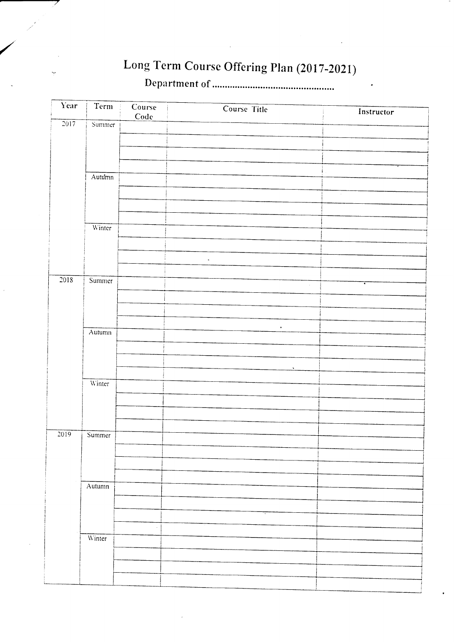## Long Term Course Offering Plan (2017-2021)

| Code<br>$\frac{1}{2017}$<br>Summer<br>Autumn<br>$\sim$ |  |
|--------------------------------------------------------|--|
|                                                        |  |
|                                                        |  |
|                                                        |  |
|                                                        |  |
|                                                        |  |
|                                                        |  |
|                                                        |  |
|                                                        |  |
| Winter                                                 |  |
|                                                        |  |
| $\mathbb{Z}^2$                                         |  |
|                                                        |  |
| 2018<br>Summer<br>٠<br>$\mathcal{L}$                   |  |
|                                                        |  |
|                                                        |  |
| $\bullet$<br>Autumn                                    |  |
|                                                        |  |
|                                                        |  |
| $\tilde{\phantom{a}}$                                  |  |
| Winter                                                 |  |
|                                                        |  |
|                                                        |  |
|                                                        |  |
| $\overline{2019}$<br>Summer                            |  |
|                                                        |  |
|                                                        |  |
|                                                        |  |
| Autumn                                                 |  |
|                                                        |  |
|                                                        |  |
|                                                        |  |
| Winter                                                 |  |
|                                                        |  |
|                                                        |  |
|                                                        |  |